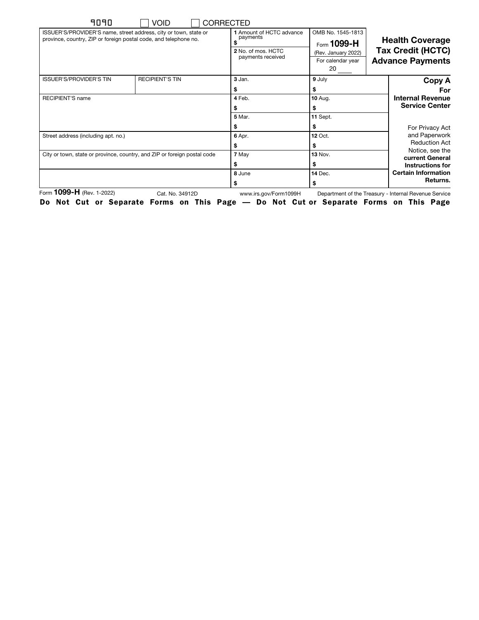|                                                                               |                                                                                        | <b>CORRECTED</b>                                                                | <b>VOID</b>                                                              | 9090                                                                                                                                 |  |
|-------------------------------------------------------------------------------|----------------------------------------------------------------------------------------|---------------------------------------------------------------------------------|--------------------------------------------------------------------------|--------------------------------------------------------------------------------------------------------------------------------------|--|
| <b>Health Coverage</b><br><b>Tax Credit (HCTC)</b><br><b>Advance Payments</b> | OMB No. 1545-1813<br>Form $1099 - H$<br>(Rev. January 2022)<br>For calendar year<br>20 | 1 Amount of HCTC advance<br>payments<br>2 No. of mos. HCTC<br>payments received |                                                                          | ISSUER'S/PROVIDER'S name, street address, city or town, state or<br>province, country, ZIP or foreign postal code, and telephone no. |  |
| Copy A<br>For                                                                 | 9 July                                                                                 | 3 Jan.                                                                          | <b>RECIPIENT'S TIN</b>                                                   | <b>ISSUER'S/PROVIDER'S TIN</b>                                                                                                       |  |
|                                                                               | \$                                                                                     | \$                                                                              |                                                                          |                                                                                                                                      |  |
| <b>Internal Revenue</b>                                                       | <b>10 Aug.</b>                                                                         | 4 Feb.                                                                          |                                                                          | RECIPIENT'S name                                                                                                                     |  |
| <b>Service Center</b>                                                         | \$                                                                                     |                                                                                 |                                                                          |                                                                                                                                      |  |
|                                                                               | 11 Sept.                                                                               | <b>5 Mar.</b>                                                                   |                                                                          |                                                                                                                                      |  |
| For Privacy Act                                                               | \$                                                                                     |                                                                                 |                                                                          |                                                                                                                                      |  |
| and Paperwork                                                                 | <b>12 Oct.</b>                                                                         | 6 Apr.                                                                          | Street address (including apt. no.)                                      |                                                                                                                                      |  |
| <b>Reduction Act</b>                                                          | \$                                                                                     |                                                                                 |                                                                          |                                                                                                                                      |  |
| Notice, see the<br>current General                                            | <b>13 Nov.</b>                                                                         | 7 May                                                                           | City or town, state or province, country, and ZIP or foreign postal code |                                                                                                                                      |  |
| Instructions for                                                              | \$                                                                                     | S                                                                               |                                                                          |                                                                                                                                      |  |
| <b>Certain Information</b>                                                    | <b>14 Dec.</b>                                                                         | 8 June                                                                          |                                                                          |                                                                                                                                      |  |
| Returns.                                                                      | \$                                                                                     |                                                                                 |                                                                          |                                                                                                                                      |  |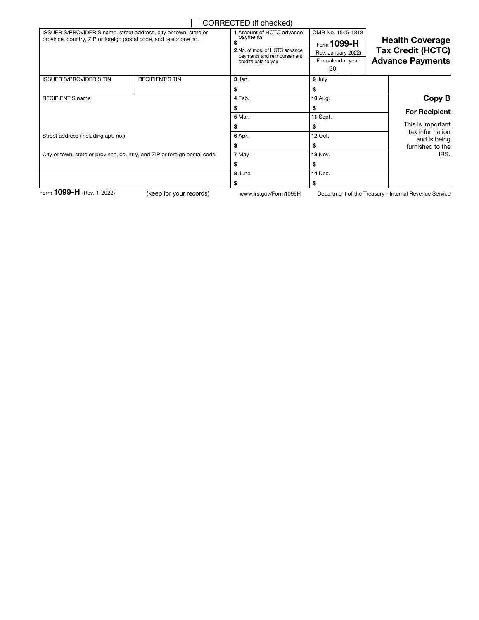|                                                                                                                                      |                         | CORRECTED (if checked)                                                                                                     |                                                                                    |                                                                               |
|--------------------------------------------------------------------------------------------------------------------------------------|-------------------------|----------------------------------------------------------------------------------------------------------------------------|------------------------------------------------------------------------------------|-------------------------------------------------------------------------------|
| ISSUER'S/PROVIDER'S name, street address, city or town, state or<br>province, country, ZIP or foreign postal code, and telephone no. |                         | 1 Amount of HCTC advance<br>payments<br>2 No. of mos. of HCTC advance<br>payments and reimbursement<br>credits paid to you | OMB No. 1545-1813<br>Form 1099-H<br>(Rev. January 2022)<br>For calendar year<br>20 | <b>Health Coverage</b><br><b>Tax Credit (HCTC)</b><br><b>Advance Payments</b> |
| <b>ISSUER'S/PROVIDER'S TIN</b>                                                                                                       | <b>RECIPIENT'S TIN</b>  | 3 Jan.                                                                                                                     | 9 July                                                                             |                                                                               |
|                                                                                                                                      |                         | S                                                                                                                          | S                                                                                  |                                                                               |
| <b>RECIPIENT'S name</b>                                                                                                              |                         | 4 Feb.                                                                                                                     | <b>10 Aug.</b>                                                                     | Copy B                                                                        |
|                                                                                                                                      |                         |                                                                                                                            | \$                                                                                 | <b>For Recipient</b>                                                          |
|                                                                                                                                      |                         | 5 Mar.                                                                                                                     | 11 Sept.                                                                           |                                                                               |
|                                                                                                                                      |                         |                                                                                                                            | \$                                                                                 | This is important                                                             |
| Street address (including apt. no.)                                                                                                  |                         | 6 Apr.                                                                                                                     | <b>12 Oct.</b>                                                                     | tax information<br>and is being                                               |
|                                                                                                                                      |                         |                                                                                                                            | S                                                                                  | furnished to the                                                              |
| City or town, state or province, country, and ZIP or foreign postal code                                                             |                         | 7 May                                                                                                                      | <b>13 Nov.</b>                                                                     | IRS.                                                                          |
|                                                                                                                                      |                         |                                                                                                                            | \$                                                                                 |                                                                               |
|                                                                                                                                      |                         | 8 June                                                                                                                     | <b>14 Dec.</b>                                                                     |                                                                               |
|                                                                                                                                      |                         | s                                                                                                                          | \$                                                                                 |                                                                               |
| Form 1099-H (Rev. 1-2022)                                                                                                            | (keep for your records) | www.irs.gov/Form1099H                                                                                                      |                                                                                    | Department of the Treasury - Internal Revenue Service                         |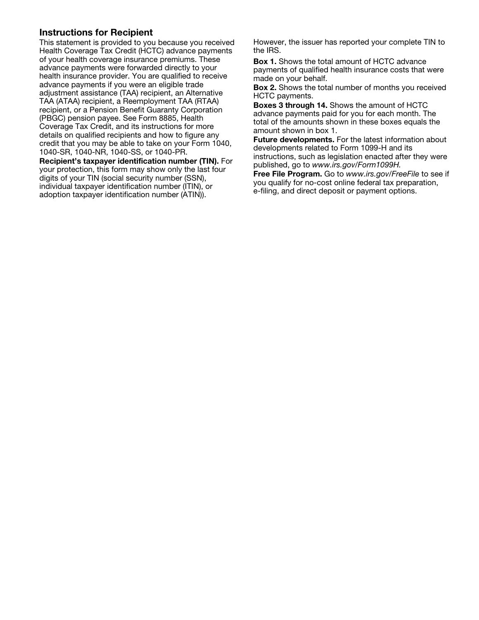## Instructions for Recipient

This statement is provided to you because you received Health Coverage Tax Credit (HCTC) advance payments of your health coverage insurance premiums. These advance payments were forwarded directly to your health insurance provider. You are qualified to receive advance payments if you were an eligible trade adjustment assistance (TAA) recipient, an Alternative TAA (ATAA) recipient, a Reemployment TAA (RTAA) recipient, or a Pension Benefit Guaranty Corporation (PBGC) pension payee. See Form 8885, Health Coverage Tax Credit, and its instructions for more details on qualified recipients and how to figure any credit that you may be able to take on your Form 1040, 1040-SR, 1040-NR, 1040-SS, or 1040-PR.

Recipient's taxpayer identification number (TIN). For your protection, this form may show only the last four digits of your TIN (social security number (SSN), individual taxpayer identification number (ITIN), or adoption taxpayer identification number (ATIN)).

However, the issuer has reported your complete TIN to the IRS.

Box 1. Shows the total amount of HCTC advance payments of qualified health insurance costs that were made on your behalf.

Box 2. Shows the total number of months you received HCTC payments.

Boxes 3 through 14. Shows the amount of HCTC advance payments paid for you for each month. The total of the amounts shown in these boxes equals the amount shown in box 1.

Future developments. For the latest information about developments related to Form 1099-H and its instructions, such as legislation enacted after they were published, go to *www.irs.gov/Form1099H.*

Free File Program. Go to *www.irs.gov/FreeFile* to see if you qualify for no-cost online federal tax preparation, e-filing, and direct deposit or payment options.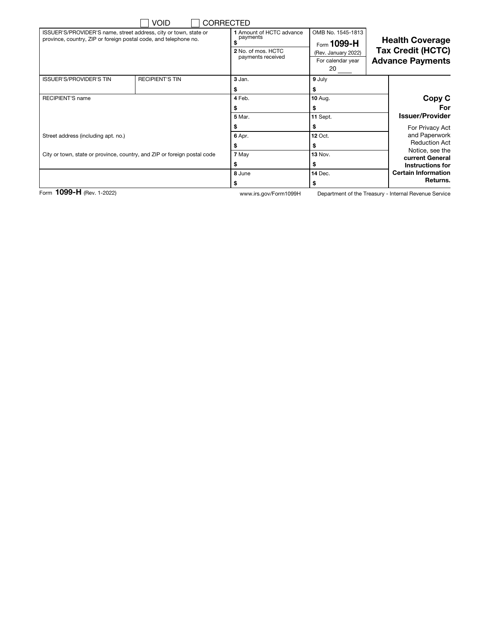|                                                                                                                                      | <b>VOID</b>                                                              | <b>CORRECTED</b>                                                                |                                                                                    |                                                                               |  |
|--------------------------------------------------------------------------------------------------------------------------------------|--------------------------------------------------------------------------|---------------------------------------------------------------------------------|------------------------------------------------------------------------------------|-------------------------------------------------------------------------------|--|
| ISSUER'S/PROVIDER'S name, street address, city or town, state or<br>province, country, ZIP or foreign postal code, and telephone no. |                                                                          | 1 Amount of HCTC advance<br>payments<br>2 No. of mos. HCTC<br>payments received | OMB No. 1545-1813<br>Form 1099-H<br>(Rev. January 2022)<br>For calendar year<br>20 | <b>Health Coverage</b><br><b>Tax Credit (HCTC)</b><br><b>Advance Payments</b> |  |
| <b>ISSUER'S/PROVIDER'S TIN</b>                                                                                                       | <b>RECIPIENT'S TIN</b>                                                   | 3 Jan.                                                                          | 9 July                                                                             |                                                                               |  |
|                                                                                                                                      |                                                                          |                                                                                 |                                                                                    |                                                                               |  |
| <b>RECIPIENT'S name</b>                                                                                                              |                                                                          | 4 Feb.                                                                          | <b>10 Aug.</b>                                                                     | Copy C                                                                        |  |
|                                                                                                                                      |                                                                          |                                                                                 |                                                                                    | For                                                                           |  |
|                                                                                                                                      |                                                                          | <b>5 Mar.</b>                                                                   | 11 Sept.                                                                           | <b>Issuer/Provider</b>                                                        |  |
|                                                                                                                                      |                                                                          |                                                                                 | \$                                                                                 | For Privacy Act                                                               |  |
| Street address (including apt. no.)                                                                                                  |                                                                          | 6 Apr.                                                                          | <b>12 Oct.</b>                                                                     | and Paperwork                                                                 |  |
|                                                                                                                                      |                                                                          |                                                                                 | S                                                                                  | <b>Reduction Act</b>                                                          |  |
|                                                                                                                                      | City or town, state or province, country, and ZIP or foreign postal code | 7 May                                                                           | <b>13 Nov.</b>                                                                     | Notice, see the<br>current General                                            |  |
|                                                                                                                                      |                                                                          | S                                                                               | S.                                                                                 | Instructions for                                                              |  |
|                                                                                                                                      |                                                                          | 8 June                                                                          | <b>14 Dec.</b>                                                                     | <b>Certain Information</b>                                                    |  |
|                                                                                                                                      |                                                                          |                                                                                 |                                                                                    | Returns.                                                                      |  |

Form 1099-H (Rev. 1-2022) www.irs.gov/Form1099H

Department of the Treasury - Internal Revenue Service